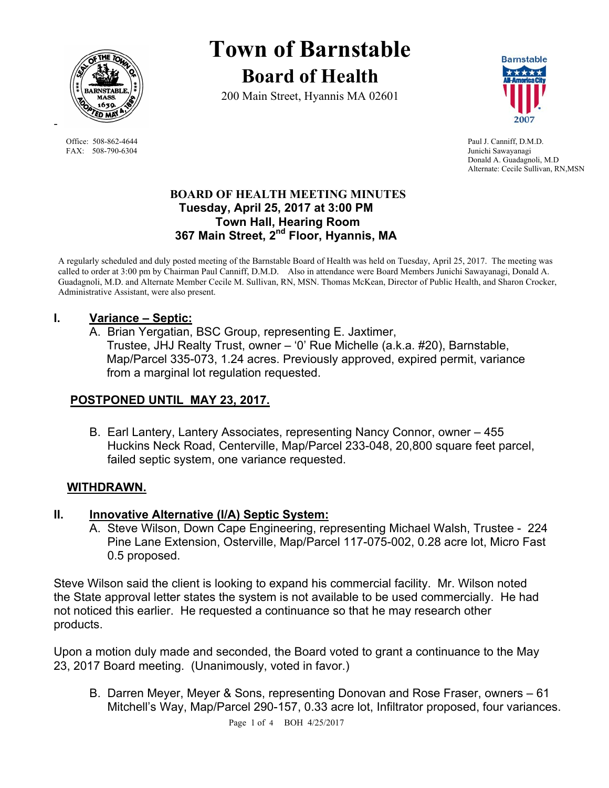

FAX: 508-790-6304 Junichi Sawayanagi

# **Town of Barnstable Board of Health**

200 Main Street, Hyannis MA 02601



Office: 508-862-4644 Paul J. Canniff, D.M.D. Donald A. Guadagnoli, M.D Alternate: Cecile Sullivan, RN,MSN

#### **BOARD OF HEALTH MEETING MINUTES Tuesday, April 25, 2017 at 3:00 PM Town Hall, Hearing Room 367 Main Street, 2nd Floor, Hyannis, MA**

A regularly scheduled and duly posted meeting of the Barnstable Board of Health was held on Tuesday, April 25, 2017. The meeting was called to order at 3:00 pm by Chairman Paul Canniff, D.M.D. Also in attendance were Board Members Junichi Sawayanagi, Donald A. Guadagnoli, M.D. and Alternate Member Cecile M. Sullivan, RN, MSN. Thomas McKean, Director of Public Health, and Sharon Crocker, Administrative Assistant, were also present.

## **I. Variance – Septic:**

A. Brian Yergatian, BSC Group, representing E. Jaxtimer, Trustee, JHJ Realty Trust, owner – '0' Rue Michelle (a.k.a. #20), Barnstable, Map/Parcel 335-073, 1.24 acres. Previously approved, expired permit, variance from a marginal lot regulation requested.

## **POSTPONED UNTIL MAY 23, 2017.**

B.Earl Lantery, Lantery Associates, representing Nancy Connor, owner – 455 Huckins Neck Road, Centerville, Map/Parcel 233-048, 20,800 square feet parcel, failed septic system, one variance requested.

## **WITHDRAWN.**

#### **II. Innovative Alternative (I/A) Septic System:**

A. Steve Wilson, Down Cape Engineering, representing Michael Walsh, Trustee - 224 Pine Lane Extension, Osterville, Map/Parcel 117-075-002, 0.28 acre lot, Micro Fast 0.5 proposed.

Steve Wilson said the client is looking to expand his commercial facility. Mr. Wilson noted the State approval letter states the system is not available to be used commercially. He had not noticed this earlier. He requested a continuance so that he may research other products.

Upon a motion duly made and seconded, the Board voted to grant a continuance to the May 23, 2017 Board meeting. (Unanimously, voted in favor.)

B. Darren Meyer, Meyer & Sons, representing Donovan and Rose Fraser, owners – 61 Mitchell's Way, Map/Parcel 290-157, 0.33 acre lot, Infiltrator proposed, four variances.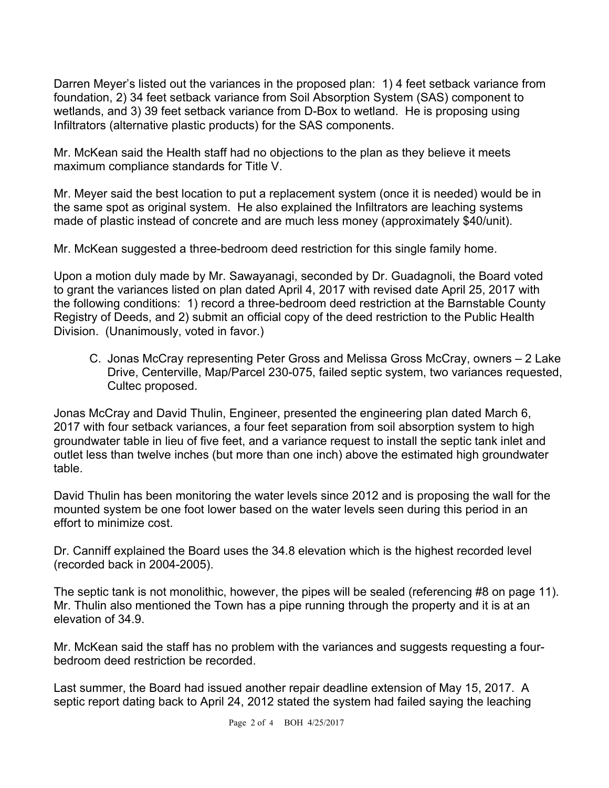Darren Meyer's listed out the variances in the proposed plan: 1) 4 feet setback variance from foundation, 2) 34 feet setback variance from Soil Absorption System (SAS) component to wetlands, and 3) 39 feet setback variance from D-Box to wetland. He is proposing using Infiltrators (alternative plastic products) for the SAS components.

Mr. McKean said the Health staff had no objections to the plan as they believe it meets maximum compliance standards for Title V.

Mr. Meyer said the best location to put a replacement system (once it is needed) would be in the same spot as original system. He also explained the Infiltrators are leaching systems made of plastic instead of concrete and are much less money (approximately \$40/unit).

Mr. McKean suggested a three-bedroom deed restriction for this single family home.

Upon a motion duly made by Mr. Sawayanagi, seconded by Dr. Guadagnoli, the Board voted to grant the variances listed on plan dated April 4, 2017 with revised date April 25, 2017 with the following conditions: 1) record a three-bedroom deed restriction at the Barnstable County Registry of Deeds, and 2) submit an official copy of the deed restriction to the Public Health Division. (Unanimously, voted in favor.)

C. Jonas McCray representing Peter Gross and Melissa Gross McCray, owners – 2 Lake Drive, Centerville, Map/Parcel 230-075, failed septic system, two variances requested, Cultec proposed.

Jonas McCray and David Thulin, Engineer, presented the engineering plan dated March 6, 2017 with four setback variances, a four feet separation from soil absorption system to high groundwater table in lieu of five feet, and a variance request to install the septic tank inlet and outlet less than twelve inches (but more than one inch) above the estimated high groundwater table.

David Thulin has been monitoring the water levels since 2012 and is proposing the wall for the mounted system be one foot lower based on the water levels seen during this period in an effort to minimize cost.

Dr. Canniff explained the Board uses the 34.8 elevation which is the highest recorded level (recorded back in 2004-2005).

The septic tank is not monolithic, however, the pipes will be sealed (referencing #8 on page 11). Mr. Thulin also mentioned the Town has a pipe running through the property and it is at an elevation of 34.9.

Mr. McKean said the staff has no problem with the variances and suggests requesting a fourbedroom deed restriction be recorded.

Last summer, the Board had issued another repair deadline extension of May 15, 2017. A septic report dating back to April 24, 2012 stated the system had failed saying the leaching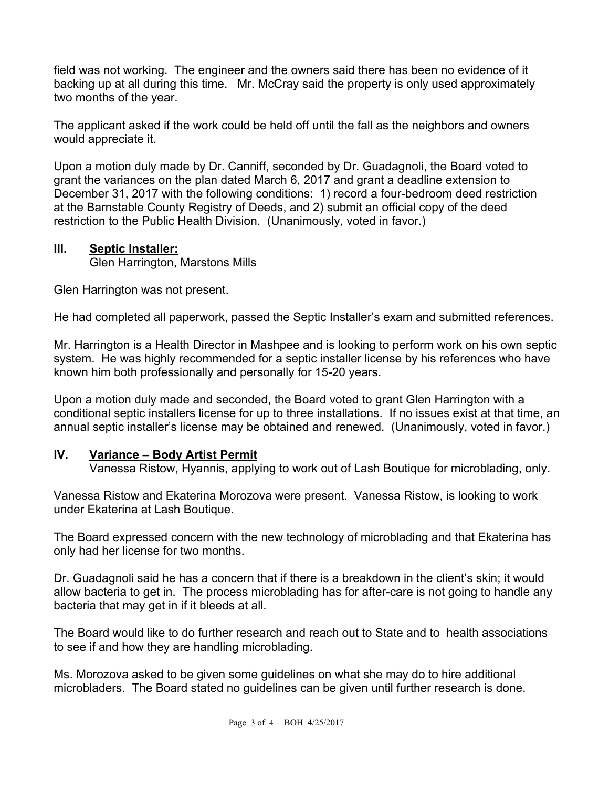field was not working. The engineer and the owners said there has been no evidence of it backing up at all during this time. Mr. McCray said the property is only used approximately two months of the year.

The applicant asked if the work could be held off until the fall as the neighbors and owners would appreciate it.

Upon a motion duly made by Dr. Canniff, seconded by Dr. Guadagnoli, the Board voted to grant the variances on the plan dated March 6, 2017 and grant a deadline extension to December 31, 2017 with the following conditions: 1) record a four-bedroom deed restriction at the Barnstable County Registry of Deeds, and 2) submit an official copy of the deed restriction to the Public Health Division. (Unanimously, voted in favor.)

#### **III. Septic Installer:**

Glen Harrington, Marstons Mills

Glen Harrington was not present.

He had completed all paperwork, passed the Septic Installer's exam and submitted references.

Mr. Harrington is a Health Director in Mashpee and is looking to perform work on his own septic system. He was highly recommended for a septic installer license by his references who have known him both professionally and personally for 15-20 years.

Upon a motion duly made and seconded, the Board voted to grant Glen Harrington with a conditional septic installers license for up to three installations. If no issues exist at that time, an annual septic installer's license may be obtained and renewed. (Unanimously, voted in favor.)

#### **IV. Variance – Body Artist Permit**

Vanessa Ristow, Hyannis, applying to work out of Lash Boutique for microblading, only.

Vanessa Ristow and Ekaterina Morozova were present. Vanessa Ristow, is looking to work under Ekaterina at Lash Boutique.

The Board expressed concern with the new technology of microblading and that Ekaterina has only had her license for two months.

Dr. Guadagnoli said he has a concern that if there is a breakdown in the client's skin; it would allow bacteria to get in. The process microblading has for after-care is not going to handle any bacteria that may get in if it bleeds at all.

The Board would like to do further research and reach out to State and to health associations to see if and how they are handling microblading.

Ms. Morozova asked to be given some guidelines on what she may do to hire additional microbladers. The Board stated no guidelines can be given until further research is done.